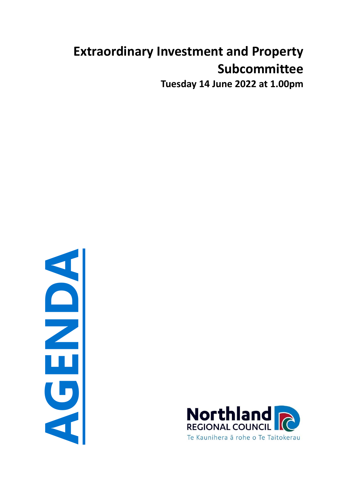# **Extraordinary Investment and Property Subcommittee**

**Tuesday 14 June 2022 at 1.00pm**

**AGENDA**

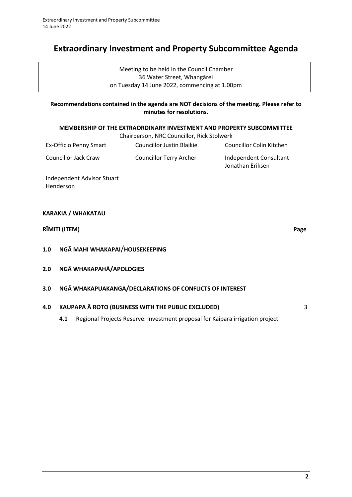# **Extraordinary Investment and Property Subcommittee Agenda**

Meeting to be held in the Council Chamber 36 Water Street, Whangārei on Tuesday 14 June 2022, commencing at 1.00pm

# **Recommendations contained in the agenda are NOT decisions of the meeting. Please refer to minutes for resolutions.**

#### **MEMBERSHIP OF THE EXTRAORDINARY INVESTMENT AND PROPERTY SUBCOMMITTEE**

| Chairperson, NRC Councillor, Rick Stolwerk |                           |                                            |
|--------------------------------------------|---------------------------|--------------------------------------------|
| Ex-Officio Penny Smart                     | Councillor Justin Blaikie | Councillor Colin Kitchen                   |
| Councillor Jack Craw                       | Councillor Terry Archer   | Independent Consultant<br>Jonathan Eriksen |

Independent Advisor Stuart Henderson

## **KARAKIA / WHAKATAU**

# **RĪMITI (ITEM) Page**

**1.0 NGĀ MAHI WHAKAPAI**/**HOUSEKEEPING**

- **2.0 NGĀ WHAKAPAHĀ/APOLOGIES**
- **3.0 NGĀ WHAKAPUAKANGA/DECLARATIONS OF CONFLICTS OF INTEREST**

# **4.0 KAUPAPA Ā ROTO (BUSINESS WITH THE PUBLIC EXCLUDED)** [3](#page-2-0)

**4.1** Regional Projects Reserve: Investment proposal for Kaipara irrigation project